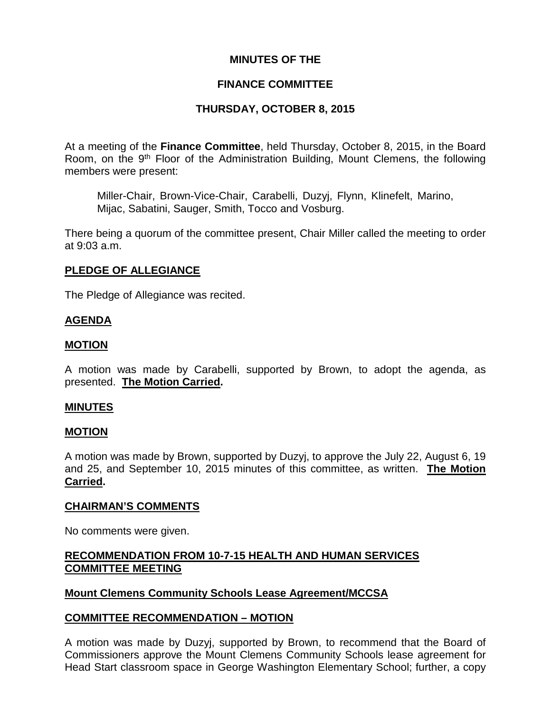## **MINUTES OF THE**

## **FINANCE COMMITTEE**

# **THURSDAY, OCTOBER 8, 2015**

At a meeting of the **Finance Committee**, held Thursday, October 8, 2015, in the Board Room, on the 9th Floor of the Administration Building, Mount Clemens, the following members were present:

Miller-Chair, Brown-Vice-Chair, Carabelli, Duzyj, Flynn, Klinefelt, Marino, Mijac, Sabatini, Sauger, Smith, Tocco and Vosburg.

There being a quorum of the committee present, Chair Miller called the meeting to order at 9:03 a.m.

## **PLEDGE OF ALLEGIANCE**

The Pledge of Allegiance was recited.

# **AGENDA**

## **MOTION**

A motion was made by Carabelli, supported by Brown, to adopt the agenda, as presented. **The Motion Carried.**

### **MINUTES**

### **MOTION**

A motion was made by Brown, supported by Duzyj, to approve the July 22, August 6, 19 and 25, and September 10, 2015 minutes of this committee, as written. **The Motion Carried.**

### **CHAIRMAN'S COMMENTS**

No comments were given.

# **RECOMMENDATION FROM 10-7-15 HEALTH AND HUMAN SERVICES COMMITTEE MEETING**

# **Mount Clemens Community Schools Lease Agreement/MCCSA**

### **COMMITTEE RECOMMENDATION – MOTION**

A motion was made by Duzyj, supported by Brown, to recommend that the Board of Commissioners approve the Mount Clemens Community Schools lease agreement for Head Start classroom space in George Washington Elementary School; further, a copy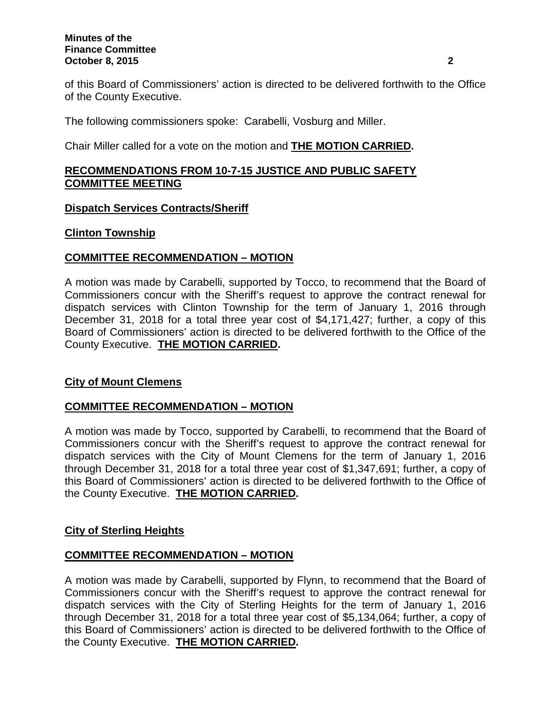#### **Minutes of the Finance Committee October 8, 2015 2**

of this Board of Commissioners' action is directed to be delivered forthwith to the Office of the County Executive.

The following commissioners spoke: Carabelli, Vosburg and Miller.

Chair Miller called for a vote on the motion and **THE MOTION CARRIED.**

# **RECOMMENDATIONS FROM 10-7-15 JUSTICE AND PUBLIC SAFETY COMMITTEE MEETING**

## **Dispatch Services Contracts/Sheriff**

## **Clinton Township**

# **COMMITTEE RECOMMENDATION – MOTION**

A motion was made by Carabelli, supported by Tocco, to recommend that the Board of Commissioners concur with the Sheriff's request to approve the contract renewal for dispatch services with Clinton Township for the term of January 1, 2016 through December 31, 2018 for a total three year cost of \$4,171,427; further, a copy of this Board of Commissioners' action is directed to be delivered forthwith to the Office of the County Executive. **THE MOTION CARRIED.**

# **City of Mount Clemens**

# **COMMITTEE RECOMMENDATION – MOTION**

A motion was made by Tocco, supported by Carabelli, to recommend that the Board of Commissioners concur with the Sheriff's request to approve the contract renewal for dispatch services with the City of Mount Clemens for the term of January 1, 2016 through December 31, 2018 for a total three year cost of \$1,347,691; further, a copy of this Board of Commissioners' action is directed to be delivered forthwith to the Office of the County Executive. **THE MOTION CARRIED.**

# **City of Sterling Heights**

# **COMMITTEE RECOMMENDATION – MOTION**

A motion was made by Carabelli, supported by Flynn, to recommend that the Board of Commissioners concur with the Sheriff's request to approve the contract renewal for dispatch services with the City of Sterling Heights for the term of January 1, 2016 through December 31, 2018 for a total three year cost of \$5,134,064; further, a copy of this Board of Commissioners' action is directed to be delivered forthwith to the Office of the County Executive. **THE MOTION CARRIED.**